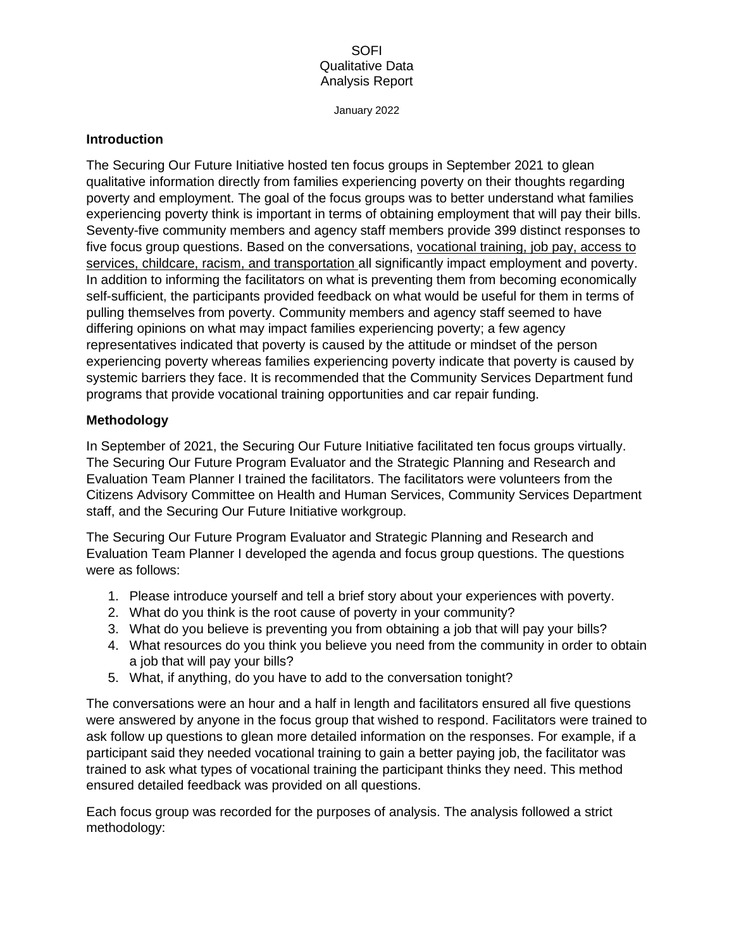January 2022

### **Introduction**

The Securing Our Future Initiative hosted ten focus groups in September 2021 to glean qualitative information directly from families experiencing poverty on their thoughts regarding poverty and employment. The goal of the focus groups was to better understand what families experiencing poverty think is important in terms of obtaining employment that will pay their bills. Seventy-five community members and agency staff members provide 399 distinct responses to five focus group questions. Based on the conversations, vocational training, job pay, access to services, childcare, racism, and transportation all significantly impact employment and poverty. In addition to informing the facilitators on what is preventing them from becoming economically self-sufficient, the participants provided feedback on what would be useful for them in terms of pulling themselves from poverty. Community members and agency staff seemed to have differing opinions on what may impact families experiencing poverty; a few agency representatives indicated that poverty is caused by the attitude or mindset of the person experiencing poverty whereas families experiencing poverty indicate that poverty is caused by systemic barriers they face. It is recommended that the Community Services Department fund programs that provide vocational training opportunities and car repair funding.

## **Methodology**

In September of 2021, the Securing Our Future Initiative facilitated ten focus groups virtually. The Securing Our Future Program Evaluator and the Strategic Planning and Research and Evaluation Team Planner I trained the facilitators. The facilitators were volunteers from the Citizens Advisory Committee on Health and Human Services, Community Services Department staff, and the Securing Our Future Initiative workgroup.

The Securing Our Future Program Evaluator and Strategic Planning and Research and Evaluation Team Planner I developed the agenda and focus group questions. The questions were as follows:

- 1. Please introduce yourself and tell a brief story about your experiences with poverty.
- 2. What do you think is the root cause of poverty in your community?
- 3. What do you believe is preventing you from obtaining a job that will pay your bills?
- 4. What resources do you think you believe you need from the community in order to obtain a job that will pay your bills?
- 5. What, if anything, do you have to add to the conversation tonight?

The conversations were an hour and a half in length and facilitators ensured all five questions were answered by anyone in the focus group that wished to respond. Facilitators were trained to ask follow up questions to glean more detailed information on the responses. For example, if a participant said they needed vocational training to gain a better paying job, the facilitator was trained to ask what types of vocational training the participant thinks they need. This method ensured detailed feedback was provided on all questions.

Each focus group was recorded for the purposes of analysis. The analysis followed a strict methodology: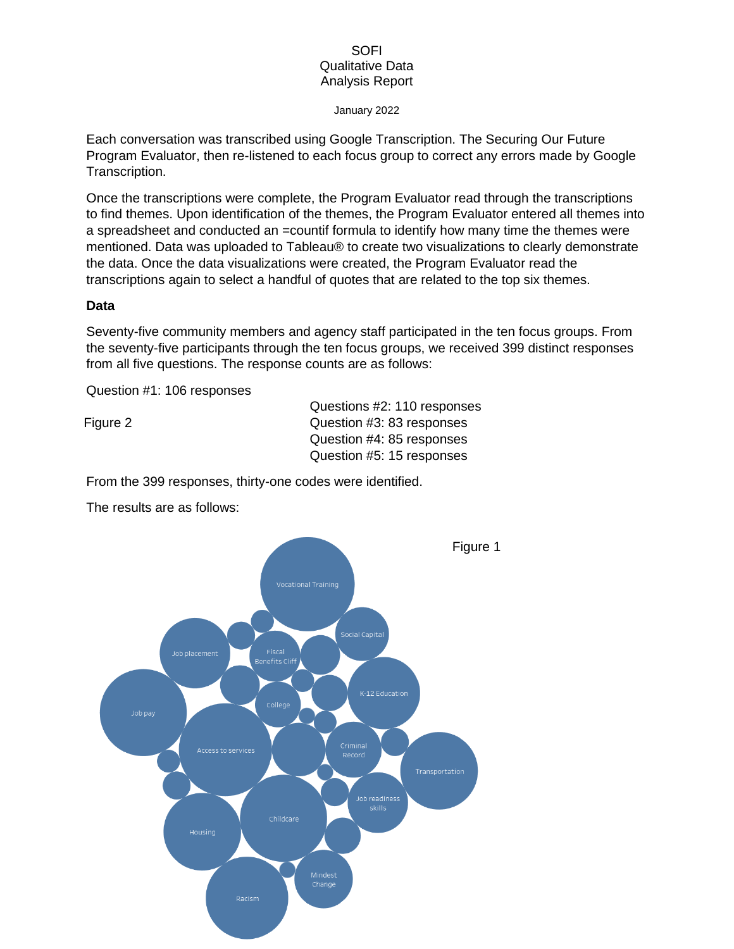#### January 2022

Each conversation was transcribed using Google Transcription. The Securing Our Future Program Evaluator, then re-listened to each focus group to correct any errors made by Google Transcription.

Once the transcriptions were complete, the Program Evaluator read through the transcriptions to find themes. Upon identification of the themes, the Program Evaluator entered all themes into a spreadsheet and conducted an =countif formula to identify how many time the themes were mentioned. Data was uploaded to Tableau® to create two visualizations to clearly demonstrate the data. Once the data visualizations were created, the Program Evaluator read the transcriptions again to select a handful of quotes that are related to the top six themes.

### **Data**

Seventy-five community members and agency staff participated in the ten focus groups. From the seventy-five participants through the ten focus groups, we received 399 distinct responses from all five questions. The response counts are as follows:

Question #1: 106 responses

Figure 2

Questions #2: 110 responses Question #3: 83 responses Question #4: 85 responses Question #5: 15 responses

From the 399 responses, thirty-one codes were identified.



The results are as follows: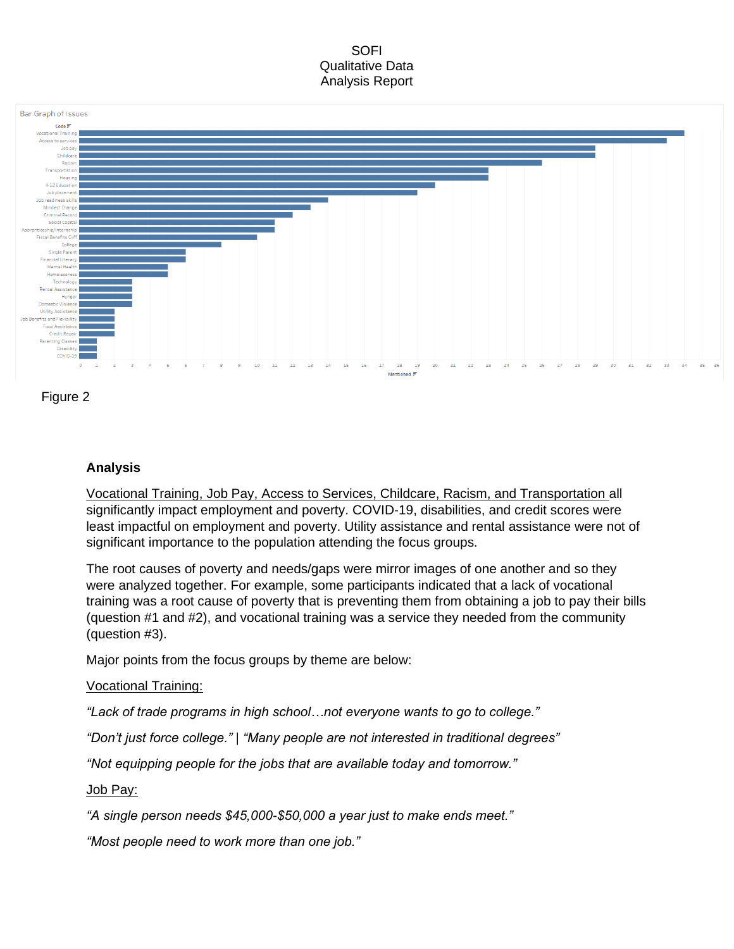



# **Analysis**

Vocational Training, Job Pay, Access to Services, Childcare, Racism, and Transportation all significantly impact employment and poverty. COVID-19, disabilities, and credit scores were least impactful on employment and poverty. Utility assistance and rental assistance were not of significant importance to the population attending the focus groups.

The root causes of poverty and needs/gaps were mirror images of one another and so they were analyzed together. For example, some participants indicated that a lack of vocational training was a root cause of poverty that is preventing them from obtaining a job to pay their bills (question #1 and #2), and vocational training was a service they needed from the community (question #3).

Major points from the focus groups by theme are below:

# Vocational Training:

*"Lack of trade programs in high school…not everyone wants to go to college."*

*"Don't just force college." | "Many people are not interested in traditional degrees"*

*"Not equipping people for the jobs that are available today and tomorrow."*

## Job Pay:

*"A single person needs \$45,000-\$50,000 a year just to make ends meet."*

*"Most people need to work more than one job."*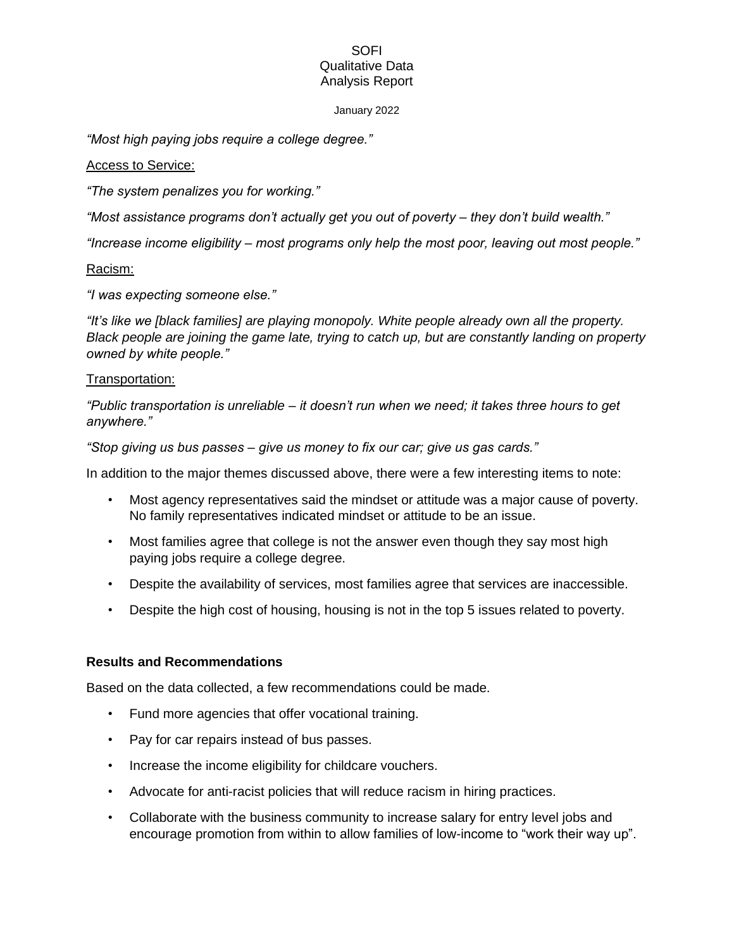#### January 2022

*"Most high paying jobs require a college degree."*

### Access to Service:

*"The system penalizes you for working."*

*"Most assistance programs don't actually get you out of poverty – they don't build wealth."*

*"Increase income eligibility – most programs only help the most poor, leaving out most people."*

### Racism:

*"I was expecting someone else."*

*"It's like we [black families] are playing monopoly. White people already own all the property. Black people are joining the game late, trying to catch up, but are constantly landing on property owned by white people."*

### Transportation:

*"Public transportation is unreliable – it doesn't run when we need; it takes three hours to get anywhere."*

*"Stop giving us bus passes – give us money to fix our car; give us gas cards."*

In addition to the major themes discussed above, there were a few interesting items to note:

- Most agency representatives said the mindset or attitude was a major cause of poverty. No family representatives indicated mindset or attitude to be an issue.
- Most families agree that college is not the answer even though they say most high paying jobs require a college degree.
- Despite the availability of services, most families agree that services are inaccessible.
- Despite the high cost of housing, housing is not in the top 5 issues related to poverty.

### **Results and Recommendations**

Based on the data collected, a few recommendations could be made.

- Fund more agencies that offer vocational training.
- Pay for car repairs instead of bus passes.
- Increase the income eligibility for childcare vouchers.
- Advocate for anti-racist policies that will reduce racism in hiring practices.
- Collaborate with the business community to increase salary for entry level jobs and encourage promotion from within to allow families of low-income to "work their way up".